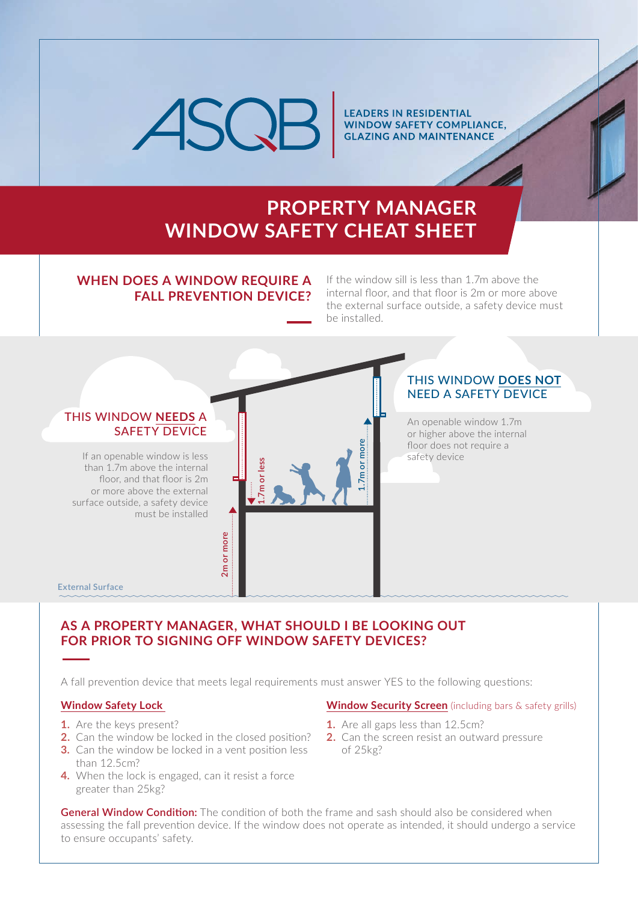

**LEADERS IN RESIDENTIAL WINDOW SAFETY COMPLIANCE, GLAZING AND MAINTENANCE** 

### **PROPERTY MANAGER WINDOW SAFETY CHEAT SHEET**

### **WHEN DOES A WINDOW REQUIRE A FALL PREVENTION DEVICE?**

If the window sill is less than 1.7m above the internal floor, and that floor is 2m or more above the external surface outside, a safety device must be installed.



### **AS A PROPERTY MANAGER, WHAT SHOULD I BE LOOKING OUT FOR PRIOR TO SIGNING OFF WINDOW SAFETY DEVICES?**

A fall prevention device that meets legal requirements must answer YES to the following questions:

#### **Window Safety Lock**

- **1.** Are the keys present?
- **2.** Can the window be locked in the closed position?
- **3.** Can the window be locked in a vent position less than 12.5cm?
- **4.** When the lock is engaged, can it resist a force greater than 25kg?

#### **Window Security Screen** (including bars & safety grills)

- **1.** Are all gaps less than 12.5cm?
- **2.** Can the screen resist an outward pressure of 25kg?

**General Window Condition:** The condition of both the frame and sash should also be considered when assessing the fall prevention device. If the window does not operate as intended, it should undergo a service to ensure occupants' safety.